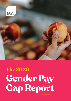

# **Gender Pay Gap Report The 2020**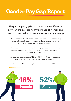## **Gender Pay Gap Report**

### The gender pay gap is calculated as the difference between the average hourly earnings of women and men as a proportion of men's average hourly earnings.

The calculation doesn't directly compare men and women doing the same job but it does measure whether men and women are equally distributed across levels of seniority.

The report is not a measure of equal pay. Equal pay is a direct comparison between the pay rates of men and women doing the same or similar jobs.

As at the snapshot date of **5th April 2020** ISS had a headcount of 478; 438 of which were in the scope of reporting.

At that time **48%** of our employees were female and **52%** male.

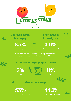

**The mean gap in hourly pay**

**8.7%**

The UK average is 15.5



**The median gap in hourly pay**



The UK average is 17

Both gaps are smaller than those reported for the manufacturing sector and also below the UK average.



 $\mathcal{M}$ 



Wa

#### **The proportion of people paid a bonus**















The mean gap in bonus

**-44.1%**

The median gap in bonus